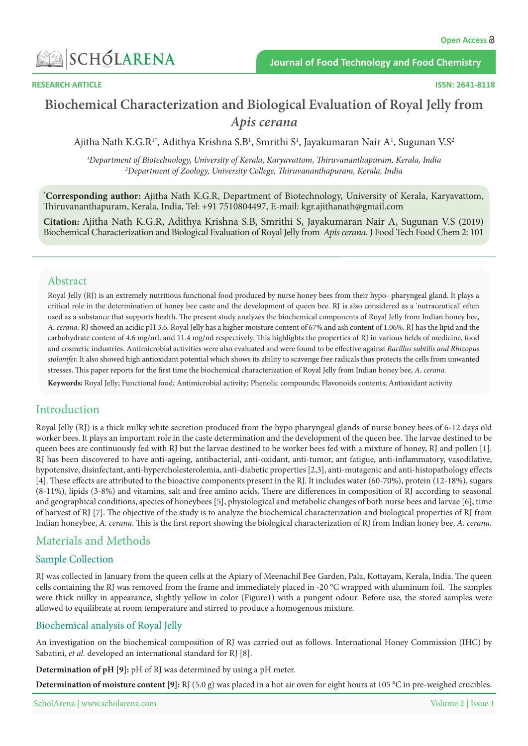

# **Biochemical Characterization and Biological Evaluation of Royal Jelly from** Apis cerana

Ajitha Nath K.G.R<sup>1\*</sup>, Adithya Krishna S.B<sup>1</sup>, Smrithi S<sup>1</sup>, Jayakumaran Nair A<sup>1</sup>, Sugunan V.S<sup>2</sup>

*1 2 India ,Kerala ,Thiruvananthapuram ,Karyavattom ,Kerala of University ,Biotechnology of Department* <sup>2</sup>Department of Zoology, University College, Thiruvananthapuram, Kerala, India

<sup>\*</sup>Corresponding author: Ajitha Nath K.G.R, Department of Biotechnology, University of Kerala, Karyavattom, Thiruvananthapuram, Kerala, India, Tel: +91 7510804497, E-mail: kgr.ajithanath@gmail.com

**Citation:** Ajitha Nath K.G.R, Adithya Krishna S.B, Smrithi S, Jayakumaran Nair A, Sugunan V.S (2019) Biochemical Characterization and Biological Evaluation of Royal Jelly from Apis cerana. J Food Tech Food Chem 2: 101

#### Abstract

Royal Jelly (RJ) is an extremely nutritious functional food produced by nurse honey bees from their hypo-pharyngeal gland. It plays a critical role in the determination of honey bee caste and the development of queen bee. RJ is also considered as a 'nutraceutical' often used as a substance that supports health. The present study analyzes the biochemical components of Royal Jelly from Indian honey bee, A. cerana. RJ showed an acidic pH 3.6. Royal Jelly has a higher moisture content of 67% and ash content of 1.06%. RJ has the lipid and the carbohydrate content of 4.6 mg/mL and 11.4 mg/ml respectively. This highlights the properties of RJ in various fields of medicine, food and cosmetic industries. Antimicrobial activities were also evaluated and were found to be effective against Bacillus subtilis and Rhizopus stolonifer. It also showed high antioxidant potential which shows its ability to scavenge free radicals thus protects the cells from unwanted stresses. This paper reports for the first time the biochemical characterization of Royal Jelly from Indian honey bee, A. *cerana*.

Keywords: Royal Jelly; Functional food; Antimicrobial activity; Phenolic compounds; Flavonoids contents; Antioxidant activity

# Introduction

Royal Jelly (RJ) is a thick milky white secretion produced from the hypo pharyngeal glands of nurse honey bees of 6-12 days old worker bees. It plays an important role in the caste determination and the development of the queen bee. The larvae destined to be queen bees are continuously fed with RJ but the larvae destined to be worker bees fed with a mixture of honey, RJ and pollen [1]. RJ has been discovered to have anti-ageing, antibacterial, anti-oxidant, anti-tumor, ant fatigue, anti-inflammatory, vasodilative, hypotensive, disinfectant, anti-hypercholesterolemia, anti-diabetic properties [2,3], anti-mutagenic and anti-histopathology effects [4]. These effects are attributed to the bioactive components present in the RJ. It includes water (60-70%), protein (12-18%), sugars (8-11%), lipids (3-8%) and vitamins, salt and free amino acids. There are differences in composition of RJ according to seasonal and geographical conditions, species of honeybees [5], physiological and metabolic changes of both nurse bees and larvae [6], time of harvest of RJ [7]. The objective of the study is to analyze the biochemical characterization and biological properties of RJ from Indian honeybee, *A. cerana*. This is the first report showing the biological characterization of RJ from Indian honey bee, *A. cerana.* 

# Materials and Methods

#### Sample Collection

RJ was collected in January from the queen cells at the Apiary of Meenachil Bee Garden, Pala, Kottayam, Kerala, India. The queen cells containing the RJ was removed from the frame and immediately placed in -20 °C wrapped with aluminum foil. The samples were thick milky in appearance, slightly yellow in color (Figure1) with a pungent odour. Before use, the stored samples were allowed to equilibrate at room temperature and stirred to produce a homogenous mixture.

#### Biochemical analysis of Royal Jelly

An investigation on the biochemical composition of RJ was carried out as follows. International Honey Commission (IHC) by Sabatini, et al. developed an international standard for RJ [8].

**Determination of pH [9]:** pH of RJ was determined by using a pH meter.

Determination of moisture content [9]: RJ (5.0 g) was placed in a hot air oven for eight hours at 105 °C in pre-weighed crucibles.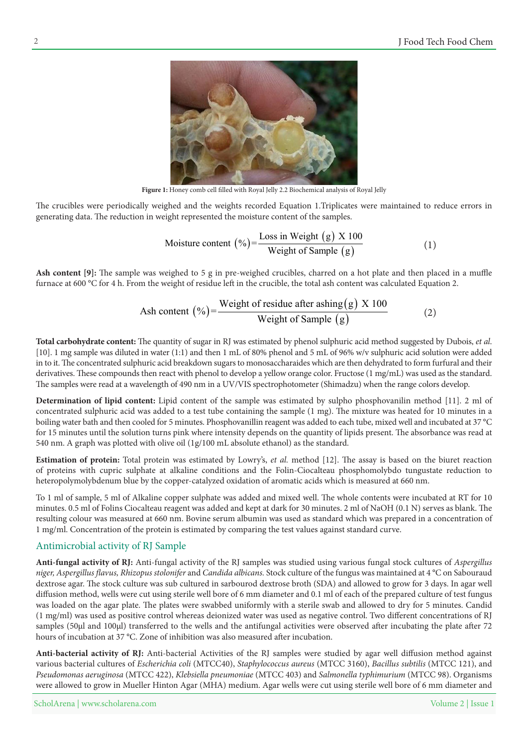

Figure 1: Honey comb cell filled with Royal Jelly 2.2 Biochemical analysis of Royal Jelly

The crucibles were periodically weighed and the weights recorded Equation 1. Triplicates were maintained to reduce errors in generating data. The reduction in weight represented the moisture content of the samples.

Moisture content 
$$
(\%) = \frac{\text{Loss in Weight (g)} \times 100}{\text{Weight of Sample (g)}}\tag{1}
$$

Ash content [9]: The sample was weighed to 5 g in pre-weighed crucibles, charred on a hot plate and then placed in a muffle furnace at 600 °C for 4 h. From the weight of residue left in the crucible, the total ash content was calculated Equation 2.

$$
Ash content (%) = \frac{Weight of residue after asking(g) \times 100}{Weight of Sample (g)}
$$
 (2)

Total carbohydrate content: The quantity of sugar in RJ was estimated by phenol sulphuric acid method suggested by Dubois, et al. [10]. 1 mg sample was diluted in water (1:1) and then 1 mL of 80% phenol and 5 mL of 96%  $w/v$  sulphuric acid solution were added in to it. The concentrated sulphuric acid breakdown sugars to monosaccharaides which are then dehydrated to form furfural and their derivatives. These compounds then react with phenol to develop a yellow orange color. Fructose (1 mg/mL) was used as the standard. The samples were read at a wavelength of 490 nm in a UV/VIS spectrophotometer (Shimadzu) when the range colors develop.

Determination of lipid content: Lipid content of the sample was estimated by sulpho phosphovanilin method [11]. 2 ml of concentrated sulphuric acid was added to a test tube containing the sample (1 mg). The mixture was heated for 10 minutes in a boiling water bath and then cooled for 5 minutes. Phosphovanillin reagent was added to each tube, mixed well and incubated at 37 °C for 15 minutes until the solution turns pink where intensity depends on the quantity of lipids present. The absorbance was read at 540 nm. A graph was plotted with olive oil  $(1g/100 \text{ mL}$  absolute ethanol) as the standard.

**Estimation of protein:** Total protein was estimated by Lowry's, et al. method [12]. The assay is based on the biuret reaction of proteins with cupric sulphate at alkaline conditions and the Folin-Ciocalteau phosphomolybdo tungustate reduction to heteropolymolybdenum blue by the copper-catalyzed oxidation of aromatic acids which is measured at 660 nm.

To 1 ml of sample, 5 ml of Alkaline copper sulphate was added and mixed well. The whole contents were incubated at RT for 10 minutes. 0.5 ml of Folins Ciocalteau reagent was added and kept at dark for 30 minutes. 2 ml of NaOH (0.1 N) serves as blank. The resulting colour was measured at 660 nm. Bovine serum albumin was used as standard which was prepared in a concentration of 1 mg/ml. Concentration of the protein is estimated by comparing the test values against standard curve.

# Antimicrobial activity of RJ Sample

Anti-fungal activity of RJ: Anti-fungal activity of the RJ samples was studied using various fungal stock cultures of Aspergillus niger, Aspergillus flavus, Rhizopus stolonifer and *Candida albicans*. Stock culture of the fungus was maintained at 4 °C on Sabouraud dextrose agar. The stock culture was sub cultured in sarbourod dextrose broth (SDA) and allowed to grow for 3 days. In agar well diffusion method, wells were cut using sterile well bore of 6 mm diameter and 0.1 ml of each of the prepared culture of test fungus was loaded on the agar plate. The plates were swabbed uniformly with a sterile swab and allowed to dry for 5 minutes. Candid (1 mg/ml) was used as positive control whereas deionized water was used as negative control. Two different concentrations of RJ samples (50ul and 100ul) transferred to the wells and the antifungal activities were observed after incubating the plate after 72 hours of incubation at 37 °C. Zone of inhibition was also measured after incubation.

Anti-bacterial activity of RJ: Anti-bacterial Activities of the RJ samples were studied by agar well diffusion method against various bacterial cultures of Escherichia coli (MTCC40), Staphylococcus aureus (MTCC 3160), Bacillus subtilis (MTCC 121), and Pseudomonas aeruginosa (MTCC 422), Klebsiella pneumoniae (MTCC 403) and Salmonella typhimurium (MTCC 98). Organisms were allowed to grow in Mueller Hinton Agar (MHA) medium. Agar wells were cut using sterile well bore of 6 mm diameter and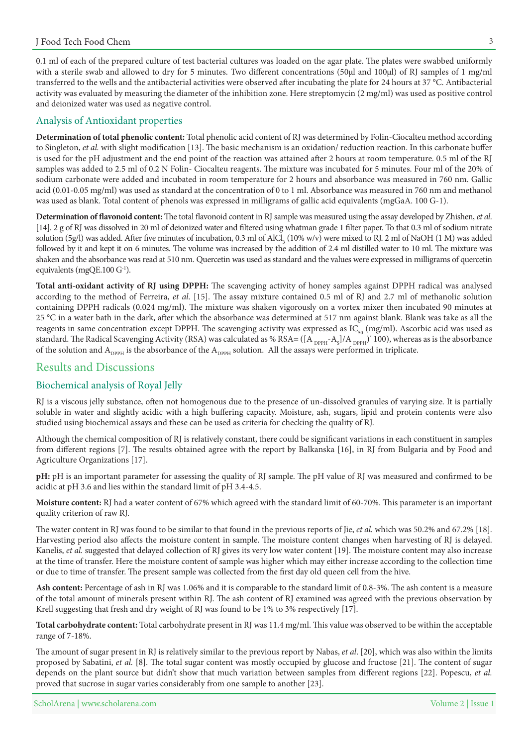0.1 ml of each of the prepared culture of test bacterial cultures was loaded on the agar plate. The plates were swabbed uniformly with a sterile swab and allowed to dry for 5 minutes. Two different concentrations (50µl and 100µl) of RJ samples of 1 mg/ml transferred to the wells and the antibacterial activities were observed after incubating the plate for 24 hours at 37 °C. Antibacterial activity was evaluated by measuring the diameter of the inhibition zone. Here streptomycin (2 mg/ml) was used as positive control and deionized water was used as negative control.

#### Analysis of Antioxidant properties

Determination of total phenolic content: Total phenolic acid content of RJ was determined by Folin-Ciocalteu method according to Singleton, et al. with slight modification [13]. The basic mechanism is an oxidation/reduction reaction. In this carbonate buffer is used for the pH adjustment and the end point of the reaction was attained after 2 hours at room temperature. 0.5 ml of the RJ samples was added to 2.5 ml of 0.2 N Folin- Ciocalteu reagents. The mixture was incubated for 5 minutes. Four ml of the 20% of sodium carbonate were added and incubated in room temperature for 2 hours and absorbance was measured in 760 nm. Gallic acid  $(0.01-0.05 \text{ mg/ml})$  was used as standard at the concentration of 0 to 1 ml. Absorbance was measured in 760 nm and methanol was used as blank. Total content of phenols was expressed in milligrams of gallic acid equivalents (mgGaA. 100 G-1).

Determination of flavonoid content: The total flavonoid content in RJ sample was measured using the assay developed by Zhishen, et al. [14]. 2 g of RJ was dissolved in 20 ml of deionized water and filtered using whatman grade 1 filter paper. To that 0.3 ml of sodium nitrate solution (5g/l) was added. After five minutes of incubation, 0.3 ml of AlCl<sub>3</sub> (10% w/v) were mixed to RJ. 2 ml of NaOH (1 M) was added followed by it and kept it on 6 minutes. The volume was increased by the addition of 2.4 ml distilled water to 10 ml. The mixture was shaken and the absorbance was read at 510 nm. Quercetin was used as standard and the values were expressed in milligrams of quercetin equivalents (mgQE.100 $G<sup>-1</sup>$ ).

Total anti-oxidant activity of RJ using DPPH: The scavenging activity of honey samples against DPPH radical was analysed according to the method of Ferreira, et al. [15]. The assay mixture contained 0.5 ml of RJ and 2.7 ml of methanolic solution containing DPPH radicals (0.024 mg/ml). The mixture was shaken vigorously on a vortex mixer then incubated 90 minutes at 25 °C in a water bath in the dark, after which the absorbance was determined at 517 nm against blank. Blank was take as all the reagents in same concentration except DPPH. The scavenging activity was expressed as  $IC_{50}$  (mg/ml). Ascorbic acid was used as standard. The Radical Scavenging Activity (RSA) was calculated as % RSA= ([A  $_{_{\rm DPPH}}$ -A<sub>s</sub>]/A  $_{_{\rm DPPH}}$ ) $^*$  100), whereas as is the absorbance of the solution and  $A_{\text{ppPH}}$  is the absorbance of the  $A_{\text{ppPH}}$  solution. All the assays were performed in triplicate.

#### Results and Discussions

#### Biochemical analysis of Royal Jelly

RJ is a viscous jelly substance, often not homogenous due to the presence of un-dissolved granules of varying size. It is partially soluble in water and slightly acidic with a high buffering capacity. Moisture, ash, sugars, lipid and protein contents were also studied using biochemical assays and these can be used as criteria for checking the quality of RJ.

Although the chemical composition of RJ is relatively constant, there could be significant variations in each constituent in samples from different regions [7]. The results obtained agree with the report by Balkanska [16], in RJ from Bulgaria and by Food and Agriculture Organizations [17].

pH: pH is an important parameter for assessing the quality of RJ sample. The pH value of RJ was measured and confirmed to be acidic at pH 3.6 and lies within the standard limit of pH 3.4-4.5.

Moisture content: RJ had a water content of 67% which agreed with the standard limit of 60-70%. This parameter is an important quality criterion of raw RJ.

The water content in RJ was found to be similar to that found in the previous reports of Jie, *et al.* which was 50.2% and 67.2% [18]. Harvesting period also affects the moisture content in sample. The moisture content changes when harvesting of RJ is delayed. Kanelis, et al. suggested that delayed collection of RJ gives its very low water content [19]. The moisture content may also increase at the time of transfer. Here the moisture content of sample was higher which may either increase according to the collection time or due to time of transfer. The present sample was collected from the first day old queen cell from the hive.

Ash content: Percentage of ash in RJ was 1.06% and it is comparable to the standard limit of 0.8-3%. The ash content is a measure of the total amount of minerals present within RJ. The ash content of RJ examined was agreed with the previous observation by Krell suggesting that fresh and dry weight of RJ was found to be  $1\%$  to 3% respectively [17].

Total carbohydrate content: Total carbohydrate present in RJ was 11.4 mg/ml. This value was observed to be within the acceptable range of  $7-18%$ .

The amount of sugar present in RJ is relatively similar to the previous report by Nabas, *et al.* [20], which was also within the limits proposed by Sabatini, et al. [8]. The total sugar content was mostly occupied by glucose and fructose [21]. The content of sugar depends on the plant source but didn't show that much variation between samples from different regions [22]. Popescu, et al. proved that sucrose in sugar varies considerably from one sample to another [23].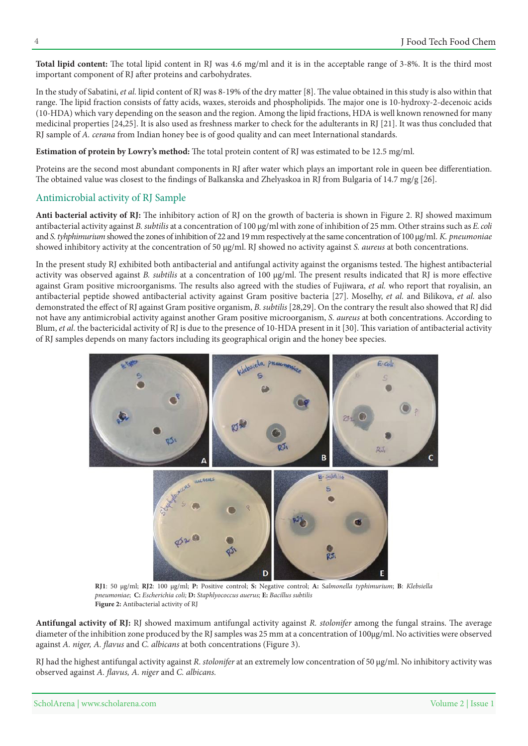Total lipid content: The total lipid content in RJ was 4.6 mg/ml and it is in the acceptable range of 3-8%. It is the third most important component of RJ after proteins and carbohydrates.

In the study of Sabatini, et al. lipid content of RJ was 8-19% of the dry matter [8]. The value obtained in this study is also within that range. The lipid fraction consists of fatty acids, waxes, steroids and phospholipids. The major one is 10-hydroxy-2-decenoic acids (10-HDA) which vary depending on the season and the region. Among the lipid fractions, HDA is well known renowned for many medicinal properties [24,25]. It is also used as freshness marker to check for the adulterants in RJ [21]. It was thus concluded that RJ sample of A. cerana from Indian honey bee is of good quality and can meet International standards.

Estimation of protein by Lowry's method: The total protein content of RJ was estimated to be 12.5 mg/ml.

Proteins are the second most abundant components in RJ after water which plays an important role in queen bee differentiation. The obtained value was closest to the findings of Balkanska and Zhelyaskoa in RJ from Bulgaria of 14.7 mg/g [26].

#### Antimicrobial activity of RJ Sample

Anti bacterial activity of RJ: The inhibitory action of RJ on the growth of bacteria is shown in Figure 2. RJ showed maximum antibacterial activity against *B*. *subtilis* at a concentration of 100  $\mu$ g/ml with zone of inhibition of 25 mm. Other strains such as *E*. *coli* and *S. tyhphimurium* showed the zones of inhibition of 22 and 19 mm respectively at the same concentration of 100 µg/ml. *K. pneumoniae* showed inhibitory activity at the concentration of 50 µg/ml. RJ showed no activity against S. aureus at both concentrations.

In the present study RJ exhibited both antibacterial and antifungal activity against the organisms tested. The highest antibacterial activity was observed against *B*. *subtilis* at a concentration of 100  $\mu$ g/ml. The present results indicated that RJ is more effective against Gram positive microorganisms. The results also agreed with the studies of Fujiwara, et al. who report that royalisin, an antibacterial peptide showed antibacterial activity against Gram positive bacteria [27]. Moselhy, et al. and Bilikova, et al. also demonstrated the effect of RJ against Gram positive organism, B. subtilis [28,29]. On the contrary the result also showed that RJ did not have any antimicrobial activity against another Gram positive microorganism, S. *aureus* at both concentrations. According to Blum, et al. the bactericidal activity of RJ is due to the presence of 10-HDA present in it [30]. This variation of antibacterial activity of RJ samples depends on many factors including its geographical origin and the honey bee species.



*RJ1*: 50 µg/ml; *RJ2*: 100 µg/ml; *P*: Positive control; *S*: Negative control; *A*: Salmonella typhimurium; *B*: Klebsiella *subtilis Bacillus* **:E***; auerus Staphlyococcus* **:D***;**coli Escherichia* **:C**; *pneumoniae* Figure 2: Antibacterial activity of RJ

Antifungal activity of RJ: RJ showed maximum antifungal activity against R. stolonifer among the fungal strains. The average diameter of the inhibition zone produced by the RJ samples was 25 mm at a concentration of 100µg/ml. No activities were observed against A. niger, A. flavus and *C. albicans* at both concentrations (Figure 3).

RJ had the highest antifungal activity against R. *stolonifer* at an extremely low concentration of 50  $\mu$ g/ml. No inhibitory activity was *observed against A. flavus, A. niger and C. albicans.*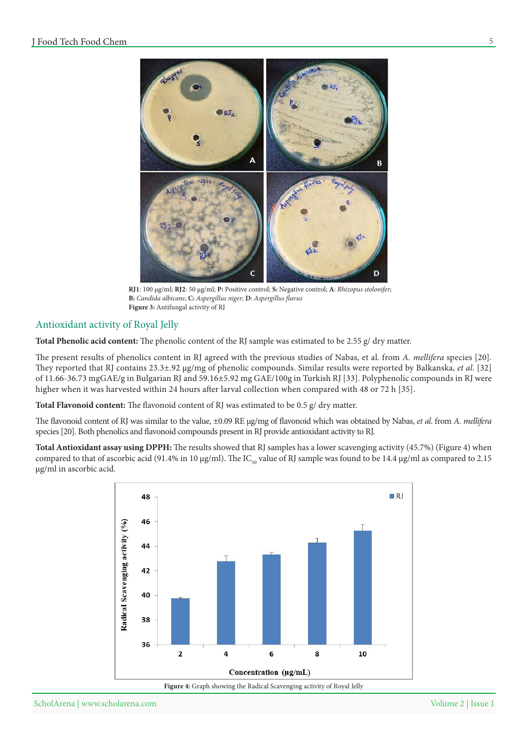

 $RJ1: 100 \mu g/ml; RJ2: 50 \mu g/ml; P: Positive control; S: Negative control; A: *Rhizopus stolonifer;*$ *ff***</del><sub>***f***</sub><b>***f</sup><i>ff*<sub>*f*</sub><sup>*f*</sup>*ffavusfdavusfdavusfdavusfdavusfdavusfdavusfdavusfdavusfdavusfdavusfdavusfdavusfdavusfdavusfdavusfdavusfdavusfdavusfdavusfdavusfdavus* Figure 3: Antifungal activity of RJ

#### Antioxidant activity of Royal Jelly

Total Phenolic acid content: The phenolic content of the RJ sample was estimated to be 2.55 g/ dry matter.

The present results of phenolics content in RJ agreed with the previous studies of Nabas, et al. from A. mellifera species [20]. They reported that RJ contains 23.3±.92 µg/mg of phenolic compounds. Similar results were reported by Balkanska, et al. [32] of 11.66-36.73 mgGAE/g in Bulgarian RJ and 59.16±5.92 mg GAE/100g in Turkish RJ [33]. Polyphenolic compounds in RJ were higher when it was harvested within 24 hours after larval collection when compared with 48 or 72 h [35].

Total Flavonoid content: The flavonoid content of RJ was estimated to be 0.5 g/ dry matter.

The flavonoid content of RJ was similar to the value, ±0.09 RE µg/mg of flavonoid which was obtained by Nabas, et al. from A. mellifera species [20]. Both phenolics and flavonoid compounds present in RJ provide antioxidant activity to RJ.

Total Antioxidant assay using DPPH: The results showed that RJ samples has a lower scavenging activity (45.7%) (Figure 4) when compared to that of ascorbic acid (91.4% in 10 µg/ml). The IC<sub>50</sub> value of RJ sample was found to be 14.4 µg/ml as compared to 2.15 µg/ml in ascorbic acid.



Figure 4: Graph showing the Radical Scavenging activity of Royal Jelly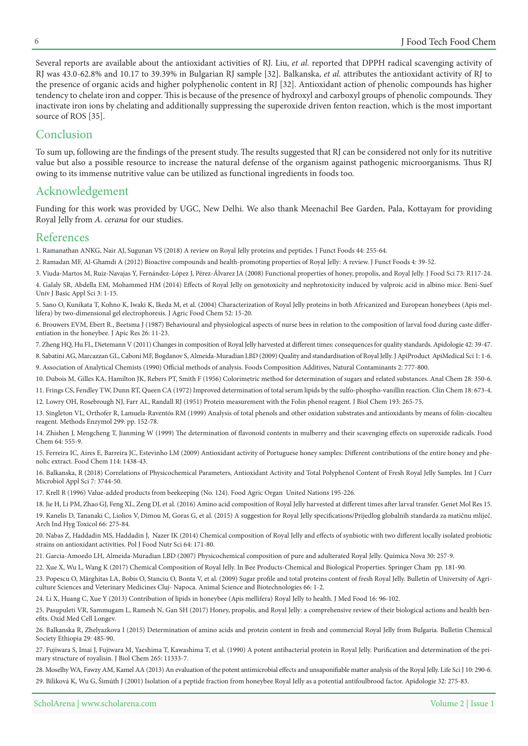Several reports are available about the antioxidant activities of RJ. Liu, et al. reported that DPPH radical scavenging activity of RJ was 43.0-62.8% and 10.17 to 39.39% in Bulgarian RJ sample [32]. Balkanska, *et al.* attributes the antioxidant activity of RJ to the presence of organic acids and higher polyphenolic content in RJ [32]. Antioxidant action of phenolic compounds has higher tendency to chelate iron and copper. This is because of the presence of hydroxyl and carboxyl groups of phenolic compounds. They inactivate iron ions by chelating and additionally suppressing the superoxide driven fenton reaction, which is the most important source of ROS [35].

# Conclusion

To sum up, following are the findings of the present study. The results suggested that RJ can be considered not only for its nutritive value but also a possible resource to increase the natural defense of the organism against pathogenic microorganisms. Thus RJ owing to its immense nutritive value can be utilized as functional ingredients in foods too.

# Acknowledgement

Funding for this work was provided by UGC, New Delhi. We also thank Meenachil Bee Garden, Pala, Kottayam for providing Royal Jelly from A. cerana for our studies.

# References

1. Ramanathan ANKG, Nair AJ, Sugunan VS (2018) A review on Royal Jelly proteins and peptides. J Funct Foods 44: 255-64.

2. Ramadan MF, Al-Ghamdi A (2012) Bioactive compounds and health-promoting properties of Royal Jelly: A review. J Funct Foods 4: 39-52.

3. Viuda-Martos M, Ruiz-Navajas Y, Fernández-López J, Pérez-Álvarez JA (2008) Functional properties of honey, propolis, and Royal Jelly. J Food Sci 73: R117-24. 4. Galaly SR, Abdella EM, Mohammed HM (2014) Effects of Royal Jelly on genotoxicity and nephrotoxicity induced by valproic acid in albino mice. Beni-Suef Univ J Basic Appl Sci 3: 1-15.

5. Sano O, Kunikata T, Kohno K, Iwaki K, Ikeda M, et al. (2004) Characterization of Royal Jelly proteins in both Africanized and European honeybees (Apis mel-<br>lifera) by two-dimensional gel electrophoresis. J Agric Food Ch

6. Brouwers EVM, Ebert R., Beetsma J (1987) Behavioural and physiological aspects of nurse bees in relation to the composition of larval food during caste differ-<br>entiation in the honeybee. J Apic Res 26: 11-23.

7. Zheng HQ, Hu FL, Dietemann V (2011) Changes in composition of Royal Jelly harvested at different times: consequences for quality standards. Apidologie 42: 39-47.

8. Sabatini AG, Marcazzan GL, Caboni MF, Bogdanov S, Almeida-Muradian LBD (2009) Quality and standardisation of Royal Jelly. J ApiProduct ApiMedical Sci 1: 1-6.

9. Association of Analytical Chemists (1990) Official methods of analysis. Foods Composition Additives, Natural Contaminants 2: 777-800.

10. Dubois M, Gilles KA, Hamilton JK, Rebers PT, Smith F (1956) Colorimetric method for determination of sugars and related substances. Anal Chem 28: 350-6.

12. Lowry OH, Rosebrough NJ, Farr AL, Randall RJ (1951) Protein measurement with the Folin phenol reagent. J Biol Chem 193: 265-75. 11. Frings CS, Fendley TW, Dunn RT, Queen CA (1972) Improved determination of total serum lipids by the sulfo-phospho-vanillin reaction. Clin Chem 18: 673-4.

13. Singleton VL, Orthofer R, Lamuela-Raventós RM (1999) Analysis of total phenols and other oxidation substrates and antioxidants by means of folin-ciocalteu reagent. Methods Enzymol 299: pp. 152-78.

14. Zhishen J, Mengcheng T, Jianming W (1999) The determination of flavonoid contents in mulberry and their scavenging effects on superoxide radicals. Food Chem 64: 555-9.

15. Ferreira IC, Aires E, Barreira JC, Estevinho LM (2009) Antioxidant activity of Portuguese honey samples: Different contributions of the entire honey and phe-<br>nolic extract. Food Chem 114: 1438-43.

16. Balkanska, R (2018) Correlations of Physicochemical Parameters, Antioxidant Activity and Total Polyphenol Content of Fresh Royal Jelly Samples. Int J Curr Microbiol Appl Sci 7: 3744-50.

17. Krell R (1996) Value-added products from beekeeping (No. 124). Food Agric Organ United Nations 195-226.

18. Jie H, Li PM, Zhao GJ, Feng XL, Zeng DJ, et al. (2016) Amino acid composition of Royal Jelly harvested at different times after larval transfer. Genet Mol Res 15. 19. Kanelis D, Tananaki C, Liolios V, Dimou M, Goras G, et al. (2015) A suggestion for Royal Jelly specifications/Prijedlog globalnih standarda za matičnu mliječ. Arch Ind Hyg Toxicol 66: 275-84.

20. Nabas Z, Haddadin MS, Haddadin J, Nazer IK (2014) Chemical composition of Royal Jelly and effects of synbiotic with two different locally isolated probiotic strains on antioxidant activities. Pol J Food Nutr Sci 64: 171-80.

21. Garcia-Amoedo LH, Almeida-Muradian LBD (2007) Physicochemical composition of pure and adulterated Royal Jelly. Química Nova 30: 257-9.

22. Xue X, Wu L, Wang K (2017) Chemical Composition of Royal Jelly. In Bee Products-Chemical and Biological Properties. Springer Cham pp. 181-90.

23. Popescu O, Mărghitas LA, Bobis O, Stanciu O, Bonta V, et al. (2009) Sugar profile and total proteins content of fresh Royal Jelly. Bulletin of University of Agri-<br>culture Sciences and Veterinary Medicines Cluj- Napoca.

24. Li X, Huang C, Xue Y (2013) Contribution of lipids in honeybee (Apis mellifera) Royal Jelly to health. J Med Food 16: 96-102.

25. Pasupuleti VR, Sammugam L, Ramesh N, Gan SH (2017) Honey, propolis, and Royal Jelly: a comprehensive review of their biological actions and health ben-<br>efits. Oxid Med Cell Longev.

26. Balkanska R, Zhelyazkova I (2015) Determination of amino acids and protein content in fresh and commercial Royal Jelly from Bulgaria. Bulletin Chemical Society Ethiopia 29: 485-90.

27. Fujiwara S, Imai J, Fujiwara M, Yaeshima T, Kawashima T, et al. (1990) A potent antibacterial protein in Royal Jelly. Purification and determination of the pri-<br>mary structure of royalisin. J Biol Chem 265: 11333-7.

28. Moselhy WA, Fawzy AM, Kamel AA (2013) An evaluation of the potent antimicrobial effects and unsaponifiable matter analysis of the Royal Jelly. Life Sci J 10: 290-6.

29. Bíliková K, Wu G, Šimúth J (2001) Isolation of a peptide fraction from honeybee Royal Jelly as a potential antifoulbrood factor. Apidologie 32: 275-83.